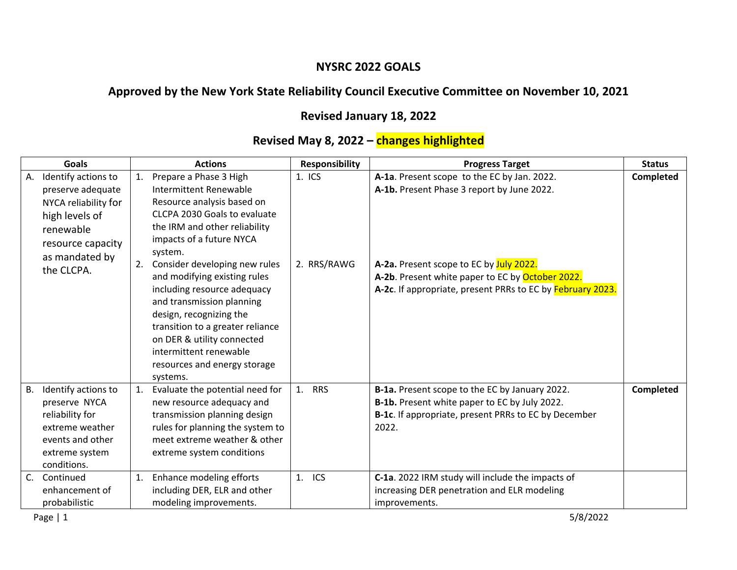## **NYSRC 2022 GOALS**

## **Approved by the New York State Reliability Council Executive Committee on November 10, 2021**

## **Revised January 18, 2022**

## **Revised May 8, 2022 – changes highlighted**

| <b>Goals</b> |                      | <b>Actions</b> |                                                             | <b>Responsibility</b> | <b>Progress Target</b>                                     | <b>Status</b>    |
|--------------|----------------------|----------------|-------------------------------------------------------------|-----------------------|------------------------------------------------------------|------------------|
| А.           | Identify actions to  | 1.             | Prepare a Phase 3 High                                      | $1.$ ICS              | A-1a. Present scope to the EC by Jan. 2022.                | Completed        |
|              | preserve adequate    |                | Intermittent Renewable                                      |                       | A-1b. Present Phase 3 report by June 2022.                 |                  |
|              | NYCA reliability for |                | Resource analysis based on                                  |                       |                                                            |                  |
|              | high levels of       |                | CLCPA 2030 Goals to evaluate                                |                       |                                                            |                  |
|              | renewable            |                | the IRM and other reliability                               |                       |                                                            |                  |
|              | resource capacity    |                | impacts of a future NYCA                                    |                       |                                                            |                  |
|              | as mandated by       |                | system.                                                     |                       |                                                            |                  |
|              | the CLCPA.           | 2.             | Consider developing new rules                               | 2. RRS/RAWG           | A-2a. Present scope to EC by July 2022.                    |                  |
|              |                      |                | and modifying existing rules                                |                       | A-2b. Present white paper to EC by October 2022.           |                  |
|              |                      |                | including resource adequacy                                 |                       | A-2c. If appropriate, present PRRs to EC by February 2023. |                  |
|              |                      |                | and transmission planning                                   |                       |                                                            |                  |
|              |                      |                | design, recognizing the<br>transition to a greater reliance |                       |                                                            |                  |
|              |                      |                | on DER & utility connected                                  |                       |                                                            |                  |
|              |                      |                | intermittent renewable                                      |                       |                                                            |                  |
|              |                      |                | resources and energy storage                                |                       |                                                            |                  |
|              |                      |                | systems.                                                    |                       |                                                            |                  |
| В.           | Identify actions to  | 1.             | Evaluate the potential need for                             | <b>RRS</b><br>1.      | B-1a. Present scope to the EC by January 2022.             | <b>Completed</b> |
|              | preserve NYCA        |                | new resource adequacy and                                   |                       | B-1b. Present white paper to EC by July 2022.              |                  |
|              | reliability for      |                | transmission planning design                                |                       | B-1c. If appropriate, present PRRs to EC by December       |                  |
|              | extreme weather      |                | rules for planning the system to                            |                       | 2022.                                                      |                  |
|              | events and other     |                | meet extreme weather & other                                |                       |                                                            |                  |
|              | extreme system       |                | extreme system conditions                                   |                       |                                                            |                  |
|              | conditions.          |                |                                                             |                       |                                                            |                  |
| $C_{\cdot}$  | Continued            | 1.             | Enhance modeling efforts                                    | ICS<br>1.             | C-1a. 2022 IRM study will include the impacts of           |                  |
|              | enhancement of       |                | including DER, ELR and other                                |                       | increasing DER penetration and ELR modeling                |                  |
|              | probabilistic        |                | modeling improvements.                                      |                       | improvements.                                              |                  |